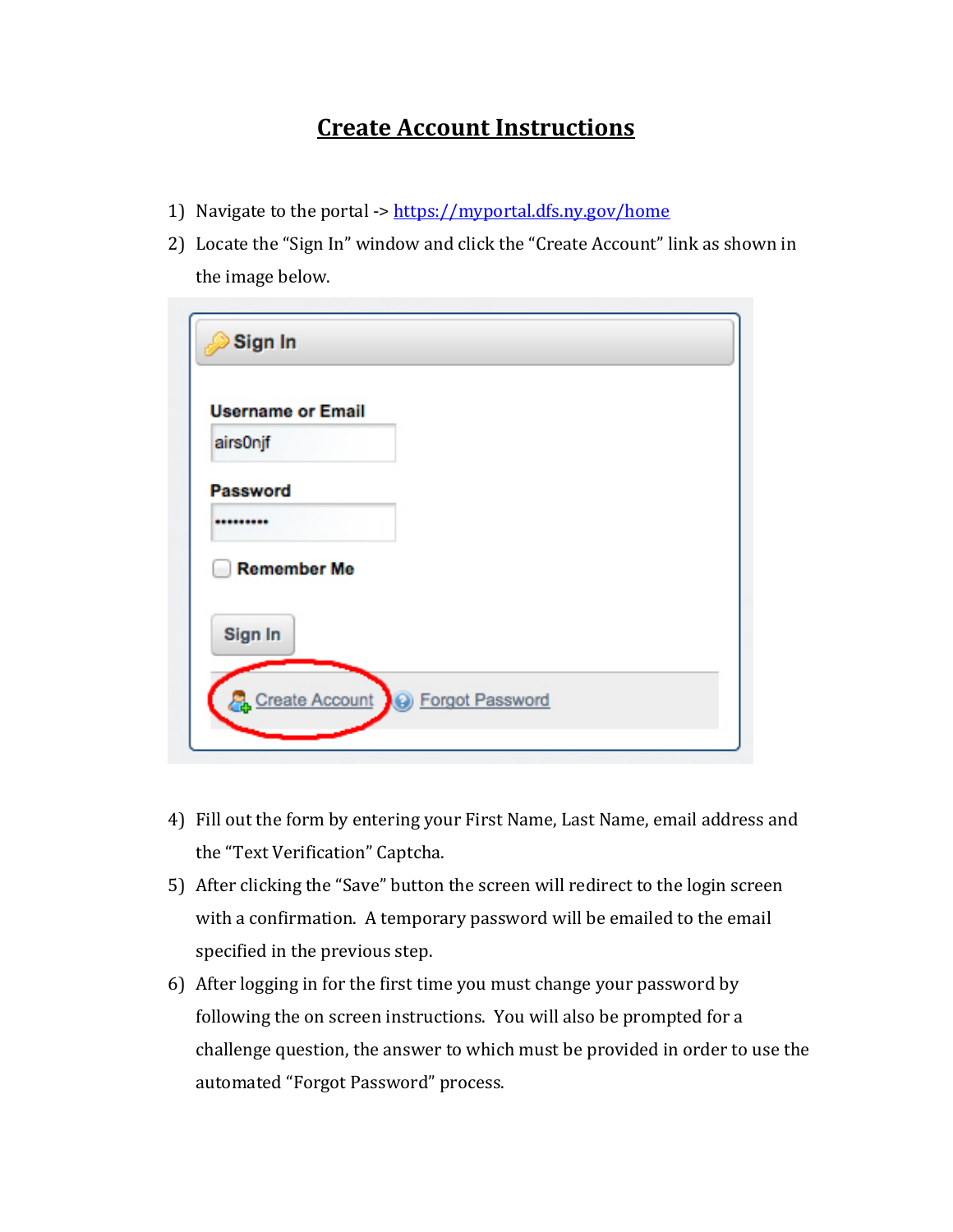## **Create Account Instructions**

- 1) Navigate to the portal -><https://myportal.dfs.ny.gov/home>
- 2) Locate the "Sign In" window and click the "Create Account" link as shown in the image below.

| Sign In                  |                                    |  |  |
|--------------------------|------------------------------------|--|--|
| <b>Username or Email</b> |                                    |  |  |
| airs0njf                 |                                    |  |  |
| <b>Password</b>          |                                    |  |  |
|                          |                                    |  |  |
| <b>Remember Me</b>       |                                    |  |  |
| Sign In                  |                                    |  |  |
|                          |                                    |  |  |
|                          | Create Account   @ Forgot Password |  |  |
|                          |                                    |  |  |

- 4) Fill out the form by entering your First Name, Last Name, email address and the "Text Verification" Captcha.
- 5) After clicking the "Save" button the screen will redirect to the login screen with a confirmation. A temporary password will be emailed to the email specified in the previous step.
- 6) After logging in for the first time you must change your password by following the on screen instructions. You will also be prompted for a challenge question, the answer to which must be provided in order to use the automated "Forgot Password" process.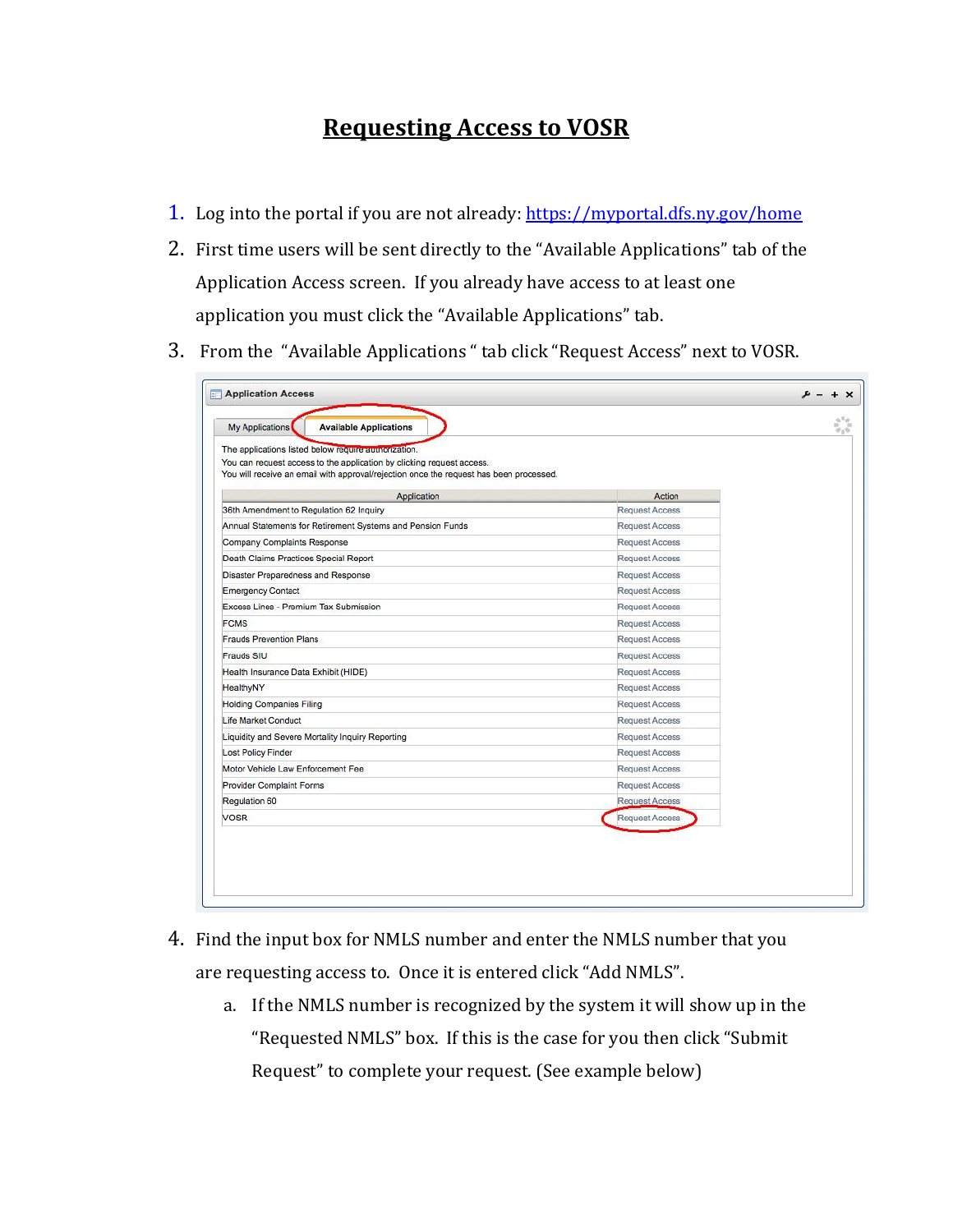## **Requesting Access to VOSR**

- 1. Log into the portal if you are not already:<https://myportal.dfs.ny.gov/home>
- 2. First time users will be sent directly to the "Available Applications" tab of the Application Access screen. If you already have access to at least one application you must click the "Available Applications" tab.
- 3. From the "Available Applications " tab click "Request Access" next to VOSR.

| You will receive an email with approval/rejection once the request has been processed. |  |
|----------------------------------------------------------------------------------------|--|
| Action                                                                                 |  |
| <b>Request Access</b>                                                                  |  |
| <b>Request Access</b>                                                                  |  |
| <b>Request Access</b>                                                                  |  |
| <b>Request Access</b>                                                                  |  |
| <b>Request Access</b>                                                                  |  |
| Request Access                                                                         |  |
| <b>Request Access</b>                                                                  |  |
| Request Access                                                                         |  |
| <b>Request Access</b>                                                                  |  |
| <b>Request Access</b>                                                                  |  |
| <b>Request Access</b>                                                                  |  |
| <b>Request Access</b>                                                                  |  |
| <b>Request Access</b>                                                                  |  |
| <b>Request Access</b>                                                                  |  |
| <b>Request Access</b>                                                                  |  |
| <b>Request Access</b>                                                                  |  |
| <b>Request Access</b>                                                                  |  |
| <b>Request Access</b>                                                                  |  |
| <b>Request Access</b>                                                                  |  |
| <b>Request Access</b>                                                                  |  |
|                                                                                        |  |

- 4. Find the input box for NMLS number and enter the NMLS number that you are requesting access to. Once it is entered click "Add NMLS".
	- a. If the NMLS number is recognized by the system it will show up in the "Requested NMLS" box. If this is the case for you then click "Submit Request" to complete your request. (See example below)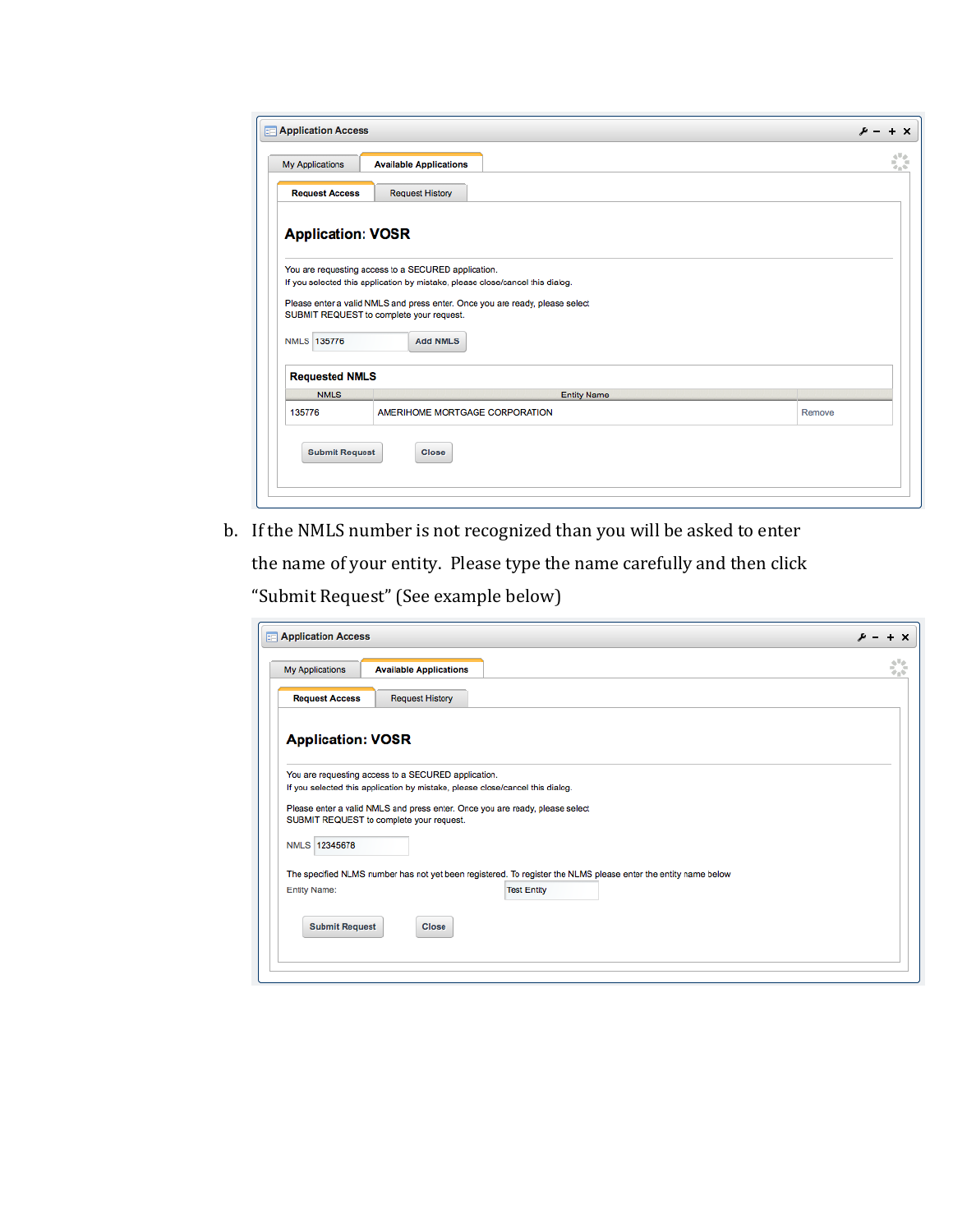|                                                                                                                          | <b>Application Access</b>                                                                                                            |        |  |  |
|--------------------------------------------------------------------------------------------------------------------------|--------------------------------------------------------------------------------------------------------------------------------------|--------|--|--|
| My Applications                                                                                                          | <b>Available Applications</b>                                                                                                        | ¢,     |  |  |
| <b>Request Access</b>                                                                                                    | <b>Request History</b>                                                                                                               |        |  |  |
| <b>Application: VOSR</b>                                                                                                 |                                                                                                                                      |        |  |  |
|                                                                                                                          |                                                                                                                                      |        |  |  |
|                                                                                                                          | You are requesting access to a SECURED application.<br>If you selected this application by mistake, please close/cancel this dialog. |        |  |  |
|                                                                                                                          |                                                                                                                                      |        |  |  |
| Please enter a valid NMLS and press enter. Once you are ready, please select<br>SUBMIT REQUEST to complete your request. |                                                                                                                                      |        |  |  |
|                                                                                                                          |                                                                                                                                      |        |  |  |
|                                                                                                                          |                                                                                                                                      |        |  |  |
|                                                                                                                          | <b>Add NMLS</b>                                                                                                                      |        |  |  |
|                                                                                                                          |                                                                                                                                      |        |  |  |
| <b>Requested NMLS</b>                                                                                                    |                                                                                                                                      |        |  |  |
| <b>NMLS 135776</b><br><b>NMLS</b>                                                                                        | <b>Entity Name</b>                                                                                                                   |        |  |  |
| 135776                                                                                                                   | AMERIHOME MORTGAGE CORPORATION                                                                                                       | Remove |  |  |
|                                                                                                                          |                                                                                                                                      |        |  |  |
| <b>Submit Request</b>                                                                                                    | <b>Close</b>                                                                                                                         |        |  |  |
|                                                                                                                          |                                                                                                                                      |        |  |  |

b. If the NMLS number is not recognized than you will be asked to enter

the name of your entity. Please type the name carefully and then click "Submit Request" (See example below)

| <b>Application Access</b> |                                                                               |                                                                                                                | $\boldsymbol{\mathsf{x}}$ |
|---------------------------|-------------------------------------------------------------------------------|----------------------------------------------------------------------------------------------------------------|---------------------------|
| My Applications           | <b>Available Applications</b>                                                 |                                                                                                                | 5.G                       |
| <b>Request Access</b>     | <b>Request History</b>                                                        |                                                                                                                |                           |
| <b>Application: VOSR</b>  |                                                                               |                                                                                                                |                           |
|                           | You are requesting access to a SECURED application.                           |                                                                                                                |                           |
|                           | If you selected this application by mistake, please close/cancel this dialog. |                                                                                                                |                           |
|                           |                                                                               |                                                                                                                |                           |
|                           |                                                                               | Please enter a valid NMLS and press enter. Once you are ready, please select                                   |                           |
|                           | SUBMIT REQUEST to complete your request.                                      |                                                                                                                |                           |
| NMLS 12345678             |                                                                               |                                                                                                                |                           |
|                           |                                                                               |                                                                                                                |                           |
|                           |                                                                               | The specified NLMS number has not yet been registered. To register the NLMS please enter the entity name below |                           |
| <b>Entity Name:</b>       |                                                                               | <b>Test Entity</b>                                                                                             |                           |
|                           |                                                                               |                                                                                                                |                           |
| <b>Submit Request</b>     | <b>Close</b>                                                                  |                                                                                                                |                           |
|                           |                                                                               |                                                                                                                |                           |
|                           |                                                                               |                                                                                                                |                           |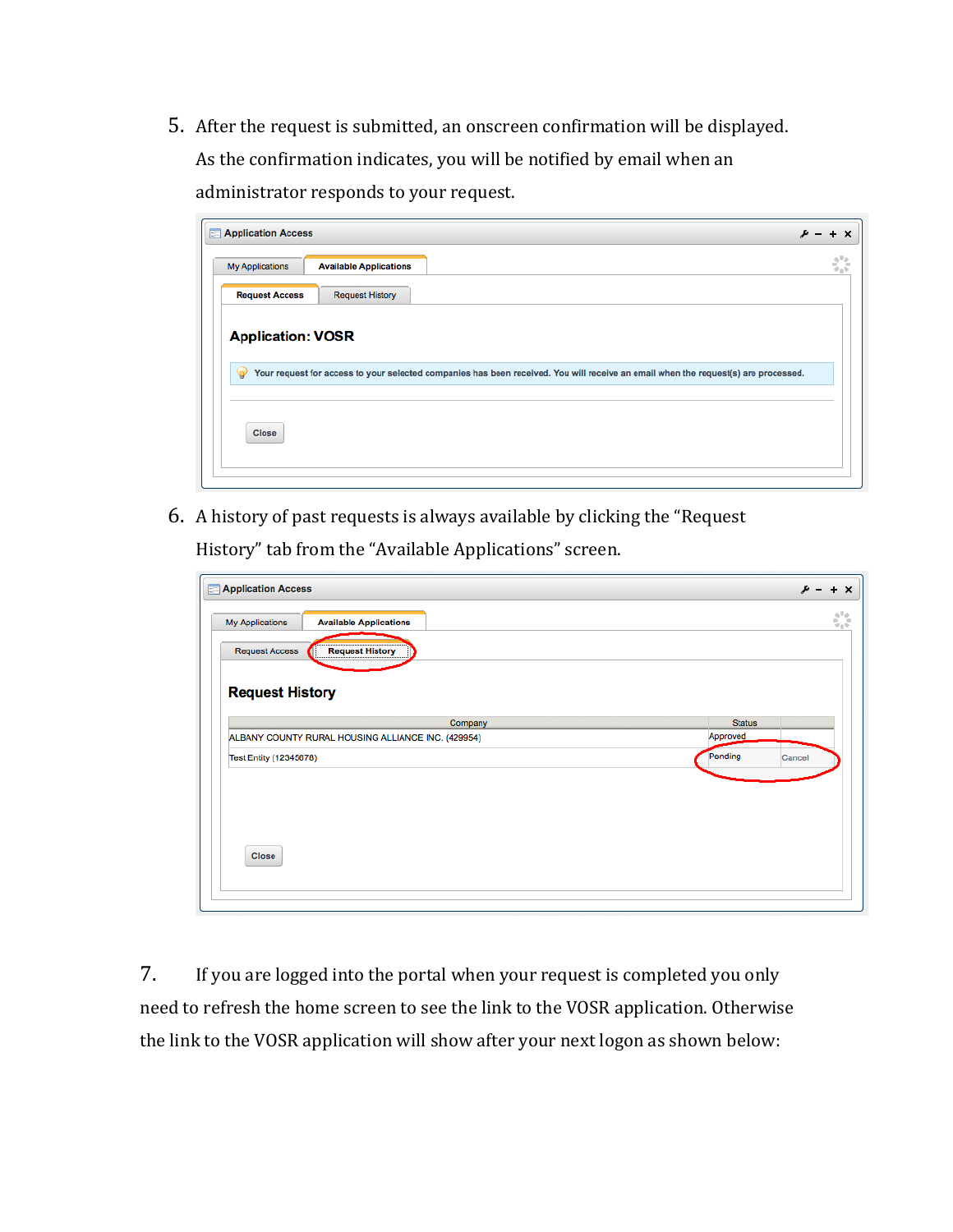5. After the request is submitted, an onscreen confirmation will be displayed. As the confirmation indicates, you will be notified by email when an administrator responds to your request.

| <b>Application Access</b> |                               |                                                                                                                                    | $+ x$ |
|---------------------------|-------------------------------|------------------------------------------------------------------------------------------------------------------------------------|-------|
| My Applications           | <b>Available Applications</b> |                                                                                                                                    | ¢,    |
| <b>Request Access</b>     | <b>Request History</b>        |                                                                                                                                    |       |
| <b>Application: VOSR</b>  |                               |                                                                                                                                    |       |
|                           |                               |                                                                                                                                    |       |
| $\mathcal{P}$             |                               | Your request for access to your selected companies has been received. You will receive an email when the request(s) are processed. |       |
|                           |                               |                                                                                                                                    |       |
|                           |                               |                                                                                                                                    |       |
| <b>Close</b>              |                               |                                                                                                                                    |       |

6. A history of past requests is always available by clicking the "Request History" tab from the "Available Applications" screen.

| <b>ED</b> Application Access                       |               | u      |
|----------------------------------------------------|---------------|--------|
| My Applications<br><b>Available Applications</b>   |               |        |
| <b>Request Access</b><br>Request History           |               |        |
|                                                    |               |        |
| <b>Request History</b>                             |               |        |
| Company                                            | <b>Status</b> |        |
| ALBANY COUNTY RURAL HOUSING ALLIANCE INC. (429954) | Approved      |        |
| <b>Test Entity (12345678)</b>                      | Pending       | Cancel |
|                                                    |               |        |
|                                                    |               |        |
|                                                    |               |        |
|                                                    |               |        |
| <b>Close</b>                                       |               |        |
|                                                    |               |        |
|                                                    |               |        |

7. If you are logged into the portal when your request is completed you only need to refresh the home screen to see the link to the VOSR application. Otherwise the link to the VOSR application will show after your next logon as shown below: